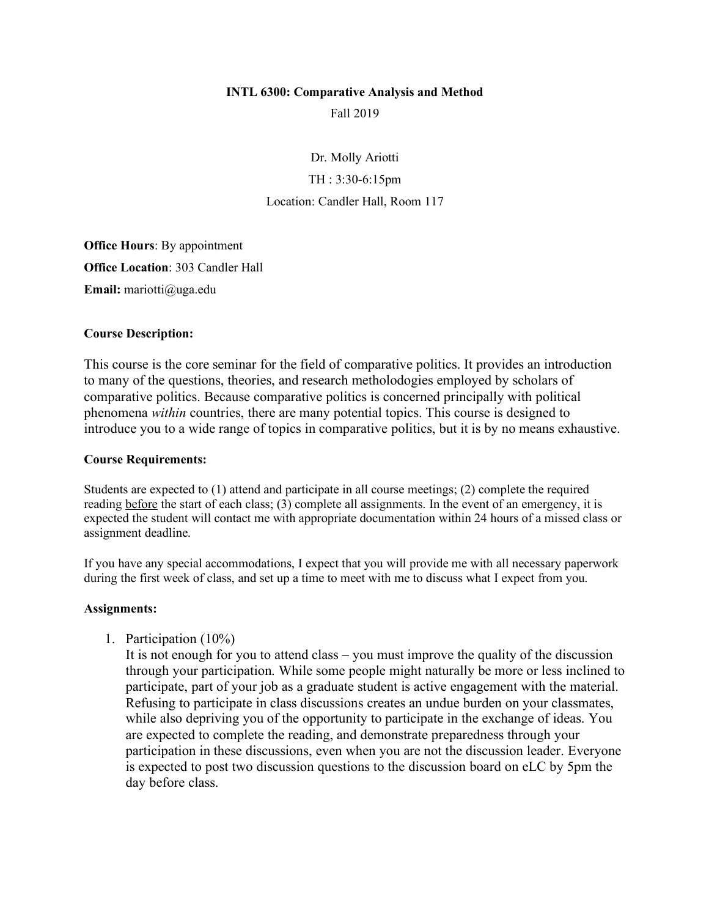#### **INTL 6300: Comparative Analysis and Method**

Fall 2019

Dr. Molly Ariotti TH : 3:30-6:15pm Location: Candler Hall, Room 117

**Office Hours**: By appointment **Office Location**: 303 Candler Hall **Email:** mariotti@uga.edu

#### **Course Description:**

This course is the core seminar for the field of comparative politics. It provides an introduction to many of the questions, theories, and research metholodogies employed by scholars of comparative politics. Because comparative politics is concerned principally with political phenomena *within* countries, there are many potential topics. This course is designed to introduce you to a wide range of topics in comparative politics, but it is by no means exhaustive.

#### **Course Requirements:**

Students are expected to (1) attend and participate in all course meetings; (2) complete the required reading before the start of each class; (3) complete all assignments. In the event of an emergency, it is expected the student will contact me with appropriate documentation within 24 hours of a missed class or assignment deadline.

If you have any special accommodations, I expect that you will provide me with all necessary paperwork during the first week of class, and set up a time to meet with me to discuss what I expect from you.

#### **Assignments:**

1. Participation (10%)

It is not enough for you to attend class – you must improve the quality of the discussion through your participation. While some people might naturally be more or less inclined to participate, part of your job as a graduate student is active engagement with the material. Refusing to participate in class discussions creates an undue burden on your classmates, while also depriving you of the opportunity to participate in the exchange of ideas. You are expected to complete the reading, and demonstrate preparedness through your participation in these discussions, even when you are not the discussion leader. Everyone is expected to post two discussion questions to the discussion board on eLC by 5pm the day before class.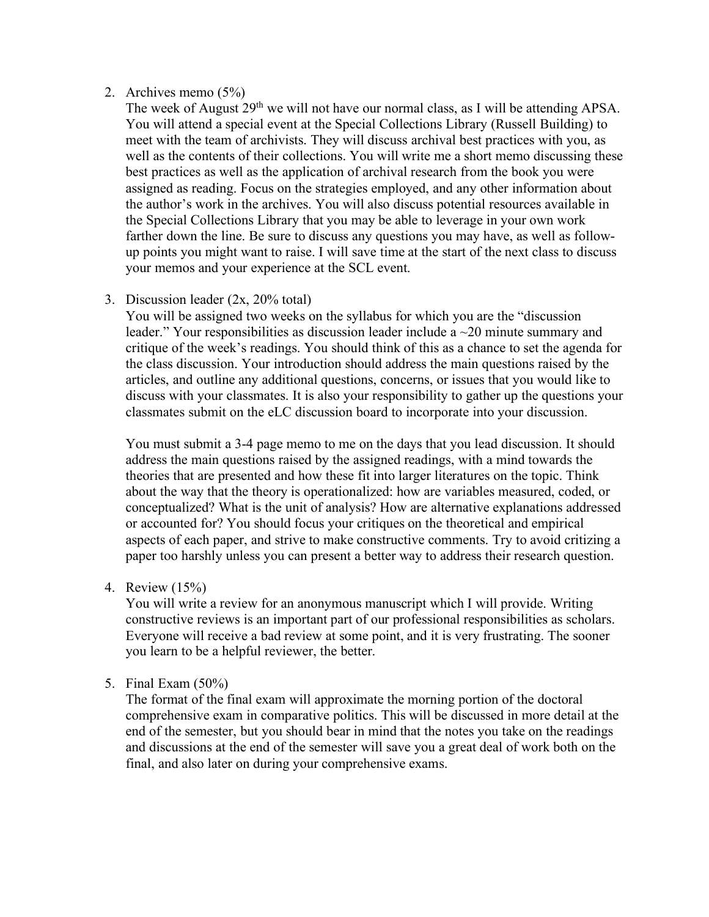#### 2. Archives memo (5%)

The week of August 29<sup>th</sup> we will not have our normal class, as I will be attending APSA. You will attend a special event at the Special Collections Library (Russell Building) to meet with the team of archivists. They will discuss archival best practices with you, as well as the contents of their collections. You will write me a short memo discussing these best practices as well as the application of archival research from the book you were assigned as reading. Focus on the strategies employed, and any other information about the author's work in the archives. You will also discuss potential resources available in the Special Collections Library that you may be able to leverage in your own work farther down the line. Be sure to discuss any questions you may have, as well as followup points you might want to raise. I will save time at the start of the next class to discuss your memos and your experience at the SCL event.

## 3. Discussion leader (2x, 20% total)

You will be assigned two weeks on the syllabus for which you are the "discussion leader." Your responsibilities as discussion leader include a ~20 minute summary and critique of the week's readings. You should think of this as a chance to set the agenda for the class discussion. Your introduction should address the main questions raised by the articles, and outline any additional questions, concerns, or issues that you would like to discuss with your classmates. It is also your responsibility to gather up the questions your classmates submit on the eLC discussion board to incorporate into your discussion.

You must submit a 3-4 page memo to me on the days that you lead discussion. It should address the main questions raised by the assigned readings, with a mind towards the theories that are presented and how these fit into larger literatures on the topic. Think about the way that the theory is operationalized: how are variables measured, coded, or conceptualized? What is the unit of analysis? How are alternative explanations addressed or accounted for? You should focus your critiques on the theoretical and empirical aspects of each paper, and strive to make constructive comments. Try to avoid critizing a paper too harshly unless you can present a better way to address their research question.

4. Review (15%)

You will write a review for an anonymous manuscript which I will provide. Writing constructive reviews is an important part of our professional responsibilities as scholars. Everyone will receive a bad review at some point, and it is very frustrating. The sooner you learn to be a helpful reviewer, the better.

# 5. Final Exam (50%)

The format of the final exam will approximate the morning portion of the doctoral comprehensive exam in comparative politics. This will be discussed in more detail at the end of the semester, but you should bear in mind that the notes you take on the readings and discussions at the end of the semester will save you a great deal of work both on the final, and also later on during your comprehensive exams.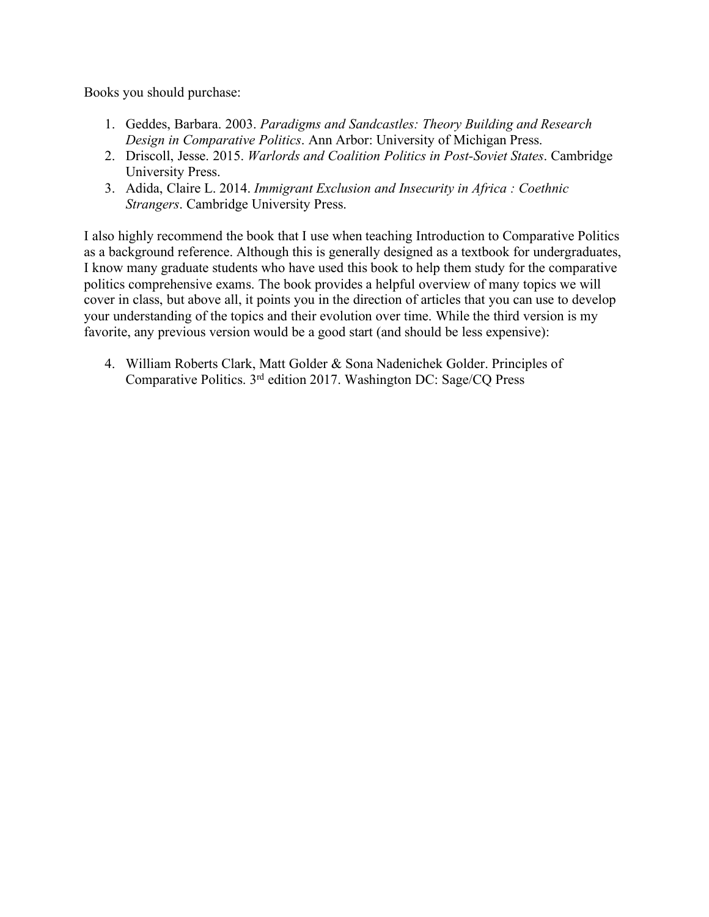Books you should purchase:

- 1. Geddes, Barbara. 2003. *Paradigms and Sandcastles: Theory Building and Research Design in Comparative Politics*. Ann Arbor: University of Michigan Press.
- 2. Driscoll, Jesse. 2015. *Warlords and Coalition Politics in Post-Soviet States*. Cambridge University Press.
- 3. Adida, Claire L. 2014. *Immigrant Exclusion and Insecurity in Africa : Coethnic Strangers*. Cambridge University Press.

I also highly recommend the book that I use when teaching Introduction to Comparative Politics as a background reference. Although this is generally designed as a textbook for undergraduates, I know many graduate students who have used this book to help them study for the comparative politics comprehensive exams. The book provides a helpful overview of many topics we will cover in class, but above all, it points you in the direction of articles that you can use to develop your understanding of the topics and their evolution over time. While the third version is my favorite, any previous version would be a good start (and should be less expensive):

4. William Roberts Clark, Matt Golder & Sona Nadenichek Golder. Principles of Comparative Politics. 3rd edition 2017. Washington DC: Sage/CQ Press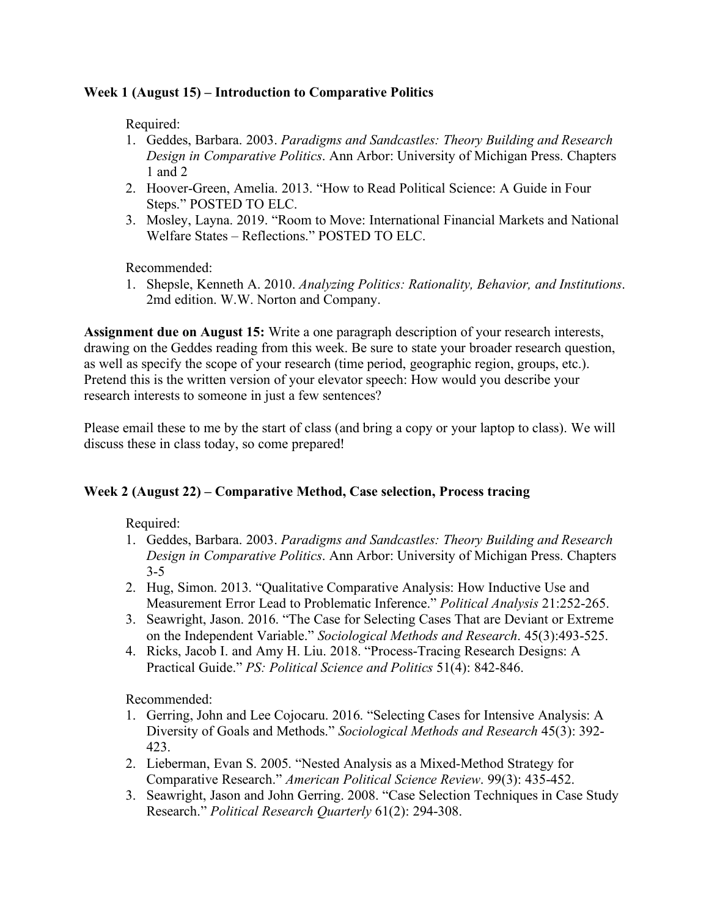# **Week 1 (August 15) – Introduction to Comparative Politics**

Required:

- 1. Geddes, Barbara. 2003. *Paradigms and Sandcastles: Theory Building and Research Design in Comparative Politics*. Ann Arbor: University of Michigan Press. Chapters 1 and 2
- 2. Hoover-Green, Amelia. 2013. "How to Read Political Science: A Guide in Four Steps." POSTED TO ELC.
- 3. Mosley, Layna. 2019. "Room to Move: International Financial Markets and National Welfare States – Reflections." POSTED TO ELC.

Recommended:

1. Shepsle, Kenneth A. 2010. *Analyzing Politics: Rationality, Behavior, and Institutions*. 2md edition. W.W. Norton and Company.

**Assignment due on August 15:** Write a one paragraph description of your research interests, drawing on the Geddes reading from this week. Be sure to state your broader research question, as well as specify the scope of your research (time period, geographic region, groups, etc.). Pretend this is the written version of your elevator speech: How would you describe your research interests to someone in just a few sentences?

Please email these to me by the start of class (and bring a copy or your laptop to class). We will discuss these in class today, so come prepared!

# **Week 2 (August 22) – Comparative Method, Case selection, Process tracing**

Required:

- 1. Geddes, Barbara. 2003. *Paradigms and Sandcastles: Theory Building and Research Design in Comparative Politics*. Ann Arbor: University of Michigan Press. Chapters 3-5
- 2. Hug, Simon. 2013. "Qualitative Comparative Analysis: How Inductive Use and Measurement Error Lead to Problematic Inference." *Political Analysis* 21:252-265.
- 3. Seawright, Jason. 2016. "The Case for Selecting Cases That are Deviant or Extreme on the Independent Variable." *Sociological Methods and Research*. 45(3):493-525.
- 4. Ricks, Jacob I. and Amy H. Liu. 2018. "Process-Tracing Research Designs: A Practical Guide." *PS: Political Science and Politics* 51(4): 842-846.

- 1. Gerring, John and Lee Cojocaru. 2016. "Selecting Cases for Intensive Analysis: A Diversity of Goals and Methods." *Sociological Methods and Research* 45(3): 392- 423.
- 2. Lieberman, Evan S. 2005. "Nested Analysis as a Mixed-Method Strategy for Comparative Research." *American Political Science Review*. 99(3): 435-452.
- 3. Seawright, Jason and John Gerring. 2008. "Case Selection Techniques in Case Study Research." *Political Research Quarterly* 61(2): 294-308.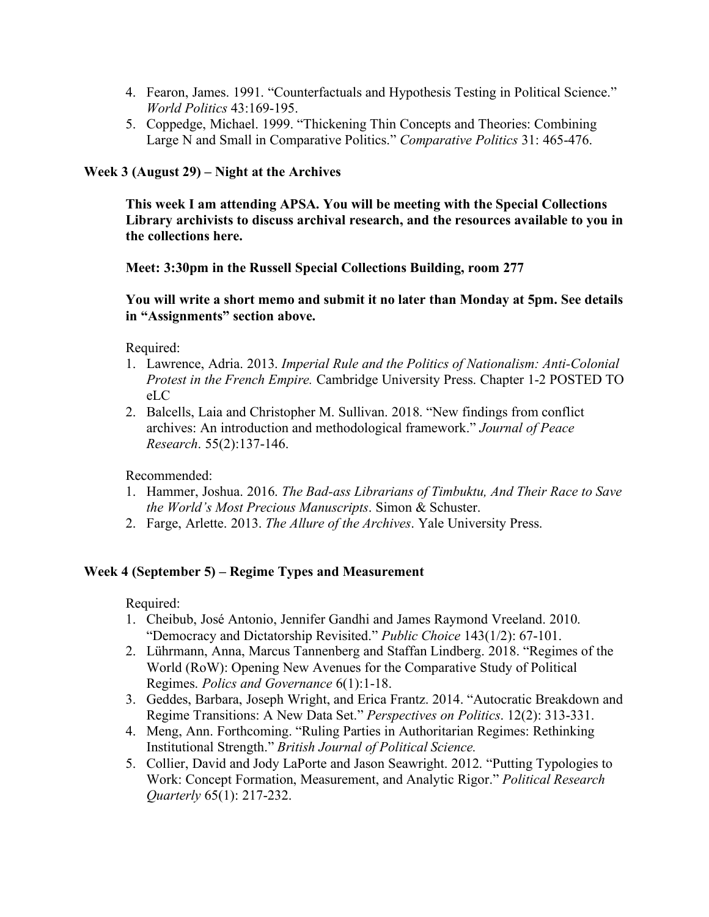- 4. Fearon, James. 1991. "Counterfactuals and Hypothesis Testing in Political Science." *World Politics* 43:169-195.
- 5. Coppedge, Michael. 1999. "Thickening Thin Concepts and Theories: Combining Large N and Small in Comparative Politics." *Comparative Politics* 31: 465-476.

#### **Week 3 (August 29) – Night at the Archives**

**This week I am attending APSA. You will be meeting with the Special Collections Library archivists to discuss archival research, and the resources available to you in the collections here.** 

**Meet: 3:30pm in the Russell Special Collections Building, room 277**

**You will write a short memo and submit it no later than Monday at 5pm. See details in "Assignments" section above.**

Required:

- 1. Lawrence, Adria. 2013. *Imperial Rule and the Politics of Nationalism: Anti-Colonial Protest in the French Empire.* Cambridge University Press. Chapter 1-2 POSTED TO eLC
- 2. Balcells, Laia and Christopher M. Sullivan. 2018. "New findings from conflict archives: An introduction and methodological framework." *Journal of Peace Research*. 55(2):137-146.

Recommended:

- 1. Hammer, Joshua. 2016. *The Bad-ass Librarians of Timbuktu, And Their Race to Save the World's Most Precious Manuscripts*. Simon & Schuster.
- 2. Farge, Arlette. 2013. *The Allure of the Archives*. Yale University Press.

#### **Week 4 (September 5) – Regime Types and Measurement**

- 1. Cheibub, José Antonio, Jennifer Gandhi and James Raymond Vreeland. 2010. "Democracy and Dictatorship Revisited." *Public Choice* 143(1/2): 67-101.
- 2. Lührmann, Anna, Marcus Tannenberg and Staffan Lindberg. 2018. "Regimes of the World (RoW): Opening New Avenues for the Comparative Study of Political Regimes. *Polics and Governance* 6(1):1-18.
- 3. Geddes, Barbara, Joseph Wright, and Erica Frantz. 2014. "Autocratic Breakdown and Regime Transitions: A New Data Set." *Perspectives on Politics*. 12(2): 313-331.
- 4. Meng, Ann. Forthcoming. "Ruling Parties in Authoritarian Regimes: Rethinking Institutional Strength." *British Journal of Political Science.*
- 5. Collier, David and Jody LaPorte and Jason Seawright. 2012. "Putting Typologies to Work: Concept Formation, Measurement, and Analytic Rigor." *Political Research Quarterly* 65(1): 217-232.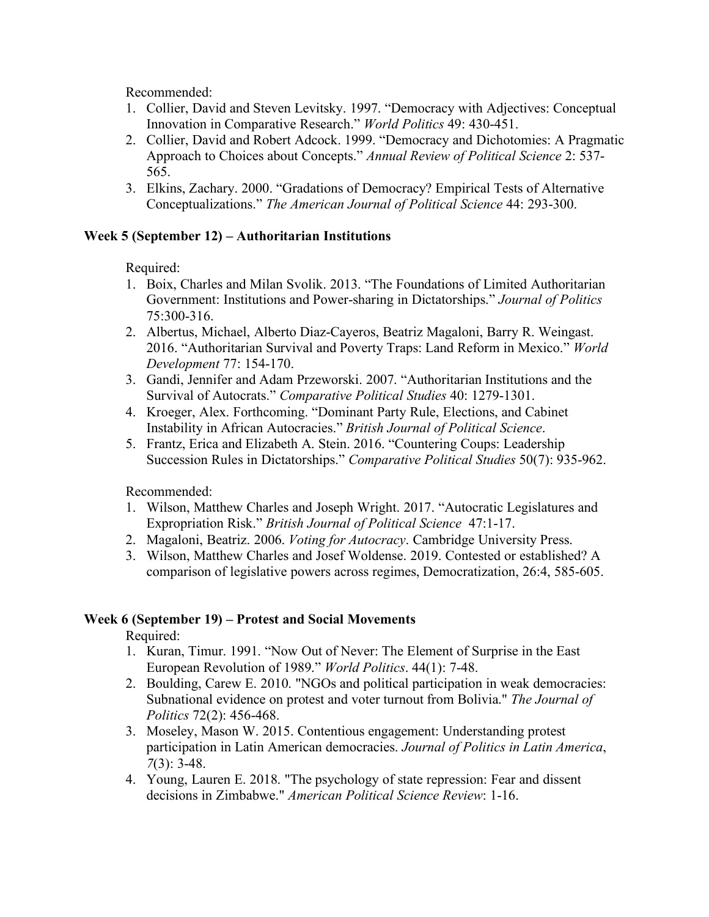Recommended:

- 1. Collier, David and Steven Levitsky. 1997. "Democracy with Adjectives: Conceptual Innovation in Comparative Research." *World Politics* 49: 430-451.
- 2. Collier, David and Robert Adcock. 1999. "Democracy and Dichotomies: A Pragmatic Approach to Choices about Concepts." *Annual Review of Political Science* 2: 537- 565.
- 3. Elkins, Zachary. 2000. "Gradations of Democracy? Empirical Tests of Alternative Conceptualizations." *The American Journal of Political Science* 44: 293-300.

## **Week 5 (September 12) – Authoritarian Institutions**

Required:

- 1. Boix, Charles and Milan Svolik. 2013. "The Foundations of Limited Authoritarian Government: Institutions and Power-sharing in Dictatorships." *Journal of Politics* 75:300-316.
- 2. Albertus, Michael, Alberto Diaz-Cayeros, Beatriz Magaloni, Barry R. Weingast. 2016. "Authoritarian Survival and Poverty Traps: Land Reform in Mexico." *World Development* 77: 154-170.
- 3. Gandi, Jennifer and Adam Przeworski. 2007. "Authoritarian Institutions and the Survival of Autocrats." *Comparative Political Studies* 40: 1279-1301.
- 4. Kroeger, Alex. Forthcoming. "Dominant Party Rule, Elections, and Cabinet Instability in African Autocracies." *British Journal of Political Science*.
- 5. Frantz, Erica and Elizabeth A. Stein. 2016. "Countering Coups: Leadership Succession Rules in Dictatorships." *Comparative Political Studies* 50(7): 935-962.

Recommended:

- 1. Wilson, Matthew Charles and Joseph Wright. 2017. "Autocratic Legislatures and Expropriation Risk." *British Journal of Political Science* 47:1-17.
- 2. Magaloni, Beatriz. 2006. *Voting for Autocracy*. Cambridge University Press.
- 3. Wilson, Matthew Charles and Josef Woldense. 2019. Contested or established? A comparison of legislative powers across regimes, Democratization, 26:4, 585-605.

# **Week 6 (September 19) – Protest and Social Movements**

- 1. Kuran, Timur. 1991. "Now Out of Never: The Element of Surprise in the East European Revolution of 1989." *World Politics*. 44(1): 7-48.
- 2. Boulding, Carew E. 2010. "NGOs and political participation in weak democracies: Subnational evidence on protest and voter turnout from Bolivia." *The Journal of Politics* 72(2): 456-468.
- 3. Moseley, Mason W. 2015. Contentious engagement: Understanding protest participation in Latin American democracies. *Journal of Politics in Latin America*, *7*(3): 3-48.
- 4. Young, Lauren E. 2018. "The psychology of state repression: Fear and dissent decisions in Zimbabwe." *American Political Science Review*: 1-16.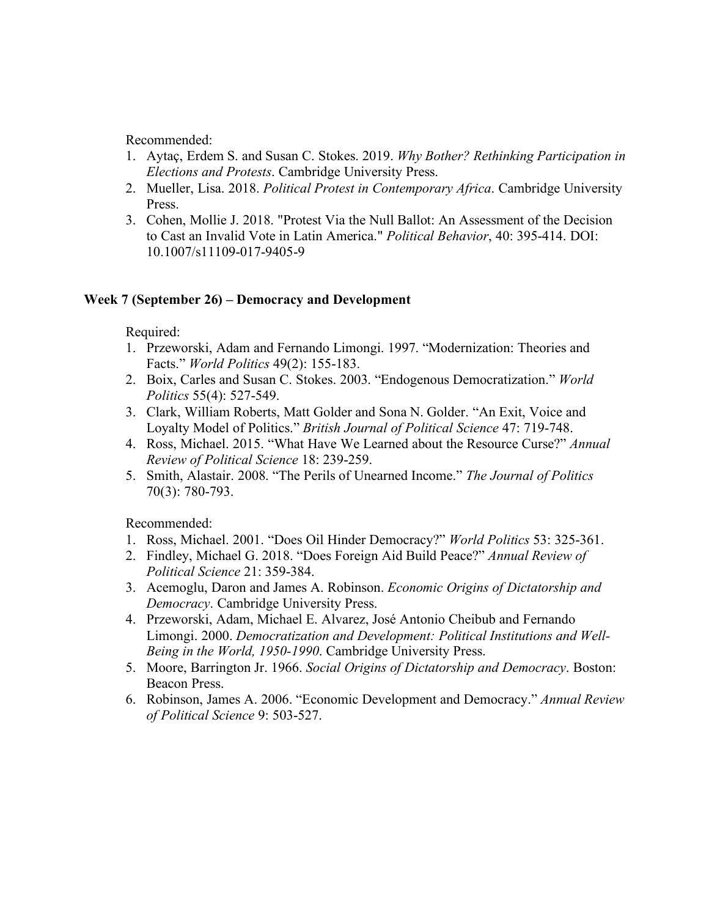Recommended:

- 1. Aytaç, Erdem S. and Susan C. Stokes. 2019. *Why Bother? Rethinking Participation in Elections and Protests*. Cambridge University Press.
- 2. Mueller, Lisa. 2018. *Political Protest in Contemporary Africa*. Cambridge University Press.
- 3. Cohen, Mollie J. 2018. "Protest Via the Null Ballot: An Assessment of the Decision to Cast an Invalid Vote in Latin America." *Political Behavior*, 40: 395-414. DOI: 10.1007/s11109-017-9405-9

## **Week 7 (September 26) – Democracy and Development**

Required:

- 1. Przeworski, Adam and Fernando Limongi. 1997. "Modernization: Theories and Facts." *World Politics* 49(2): 155-183.
- 2. Boix, Carles and Susan C. Stokes. 2003. "Endogenous Democratization." *World Politics* 55(4): 527-549.
- 3. Clark, William Roberts, Matt Golder and Sona N. Golder. "An Exit, Voice and Loyalty Model of Politics." *British Journal of Political Science* 47: 719-748.
- 4. Ross, Michael. 2015. "What Have We Learned about the Resource Curse?" *Annual Review of Political Science* 18: 239-259.
- 5. Smith, Alastair. 2008. "The Perils of Unearned Income." *The Journal of Politics* 70(3): 780-793.

- 1. Ross, Michael. 2001. "Does Oil Hinder Democracy?" *World Politics* 53: 325-361.
- 2. Findley, Michael G. 2018. "Does Foreign Aid Build Peace?" *Annual Review of Political Science* 21: 359-384.
- 3. Acemoglu, Daron and James A. Robinson. *Economic Origins of Dictatorship and Democracy*. Cambridge University Press.
- 4. Przeworski, Adam, Michael E. Alvarez, José Antonio Cheibub and Fernando Limongi. 2000. *Democratization and Development: Political Institutions and Well-Being in the World, 1950-1990*. Cambridge University Press.
- 5. Moore, Barrington Jr. 1966. *Social Origins of Dictatorship and Democracy*. Boston: Beacon Press.
- 6. Robinson, James A. 2006. "Economic Development and Democracy." *Annual Review of Political Science* 9: 503-527.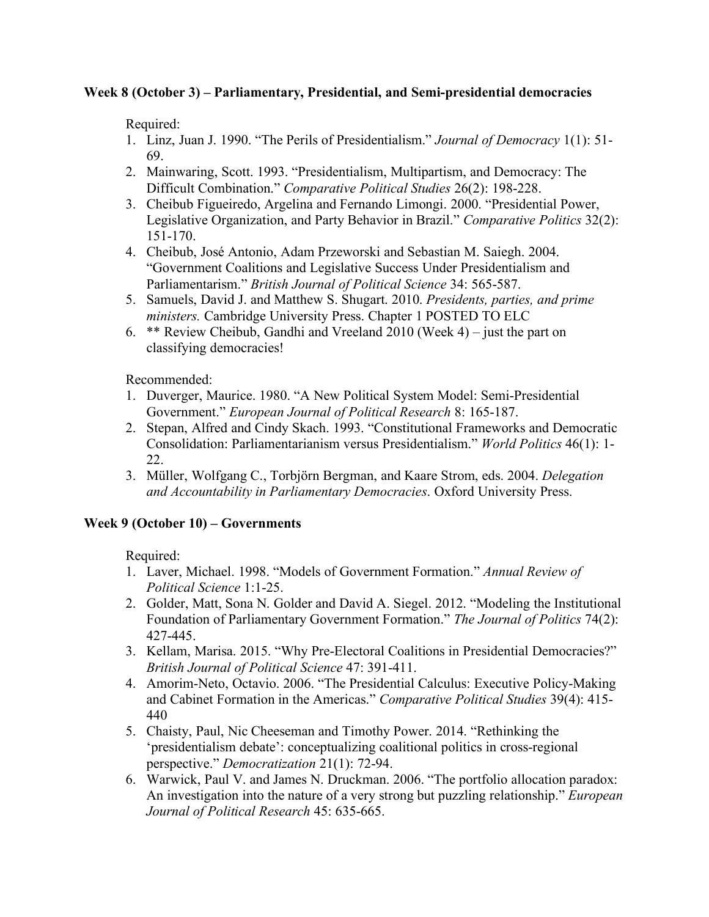## **Week 8 (October 3) – Parliamentary, Presidential, and Semi-presidential democracies**

Required:

- 1. Linz, Juan J. 1990. "The Perils of Presidentialism." *Journal of Democracy* 1(1): 51- 69.
- 2. Mainwaring, Scott. 1993. "Presidentialism, Multipartism, and Democracy: The Difficult Combination." *Comparative Political Studies* 26(2): 198-228.
- 3. Cheibub Figueiredo, Argelina and Fernando Limongi. 2000. "Presidential Power, Legislative Organization, and Party Behavior in Brazil." *Comparative Politics* 32(2): 151-170.
- 4. Cheibub, José Antonio, Adam Przeworski and Sebastian M. Saiegh. 2004. "Government Coalitions and Legislative Success Under Presidentialism and Parliamentarism." *British Journal of Political Science* 34: 565-587.
- 5. Samuels, David J. and Matthew S. Shugart. 2010. *Presidents, parties, and prime ministers.* Cambridge University Press. Chapter 1 POSTED TO ELC
- 6. \*\* Review Cheibub, Gandhi and Vreeland 2010 (Week 4) just the part on classifying democracies!

Recommended:

- 1. Duverger, Maurice. 1980. "A New Political System Model: Semi-Presidential Government." *European Journal of Political Research* 8: 165-187.
- 2. Stepan, Alfred and Cindy Skach. 1993. "Constitutional Frameworks and Democratic Consolidation: Parliamentarianism versus Presidentialism." *World Politics* 46(1): 1- 22.
- 3. Müller, Wolfgang C., Torbjörn Bergman, and Kaare Strom, eds. 2004. *Delegation and Accountability in Parliamentary Democracies*. Oxford University Press.

# **Week 9 (October 10) – Governments**

- 1. Laver, Michael. 1998. "Models of Government Formation." *Annual Review of Political Science* 1:1-25.
- 2. Golder, Matt, Sona N. Golder and David A. Siegel. 2012. "Modeling the Institutional Foundation of Parliamentary Government Formation." *The Journal of Politics* 74(2): 427-445.
- 3. Kellam, Marisa. 2015. "Why Pre-Electoral Coalitions in Presidential Democracies?" *British Journal of Political Science* 47: 391-411.
- 4. Amorim-Neto, Octavio. 2006. "The Presidential Calculus: Executive Policy-Making and Cabinet Formation in the Americas." *Comparative Political Studies* 39(4): 415- 440
- 5. Chaisty, Paul, Nic Cheeseman and Timothy Power. 2014. "Rethinking the 'presidentialism debate': conceptualizing coalitional politics in cross-regional perspective." *Democratization* 21(1): 72-94.
- 6. Warwick, Paul V. and James N. Druckman. 2006. "The portfolio allocation paradox: An investigation into the nature of a very strong but puzzling relationship." *European Journal of Political Research* 45: 635-665.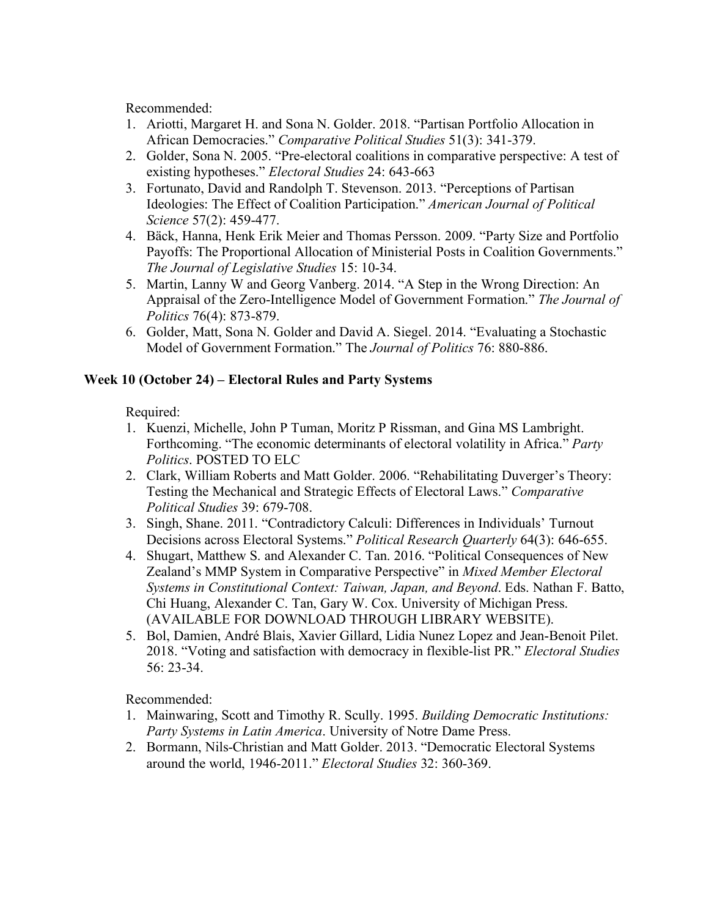Recommended:

- 1. Ariotti, Margaret H. and Sona N. Golder. 2018. "Partisan Portfolio Allocation in African Democracies." *Comparative Political Studies* 51(3): 341-379.
- 2. Golder, Sona N. 2005. "Pre-electoral coalitions in comparative perspective: A test of existing hypotheses." *Electoral Studies* 24: 643-663
- 3. Fortunato, David and Randolph T. Stevenson. 2013. "Perceptions of Partisan Ideologies: The Effect of Coalition Participation." *American Journal of Political Science* 57(2): 459-477.
- 4. Bäck, Hanna, Henk Erik Meier and Thomas Persson. 2009. "Party Size and Portfolio Payoffs: The Proportional Allocation of Ministerial Posts in Coalition Governments." *The Journal of Legislative Studies* 15: 10-34.
- 5. Martin, Lanny W and Georg Vanberg. 2014. "A Step in the Wrong Direction: An Appraisal of the Zero-Intelligence Model of Government Formation." *The Journal of Politics* 76(4): 873-879.
- 6. Golder, Matt, Sona N. Golder and David A. Siegel. 2014. "Evaluating a Stochastic Model of Government Formation." The *Journal of Politics* 76: 880-886.

# **Week 10 (October 24) – Electoral Rules and Party Systems**

Required:

- 1. Kuenzi, Michelle, John P Tuman, Moritz P Rissman, and Gina MS Lambright. Forthcoming. "The economic determinants of electoral volatility in Africa." *Party Politics*. POSTED TO ELC
- 2. Clark, William Roberts and Matt Golder. 2006. "Rehabilitating Duverger's Theory: Testing the Mechanical and Strategic Effects of Electoral Laws." *Comparative Political Studies* 39: 679-708.
- 3. Singh, Shane. 2011. "Contradictory Calculi: Differences in Individuals' Turnout Decisions across Electoral Systems." *Political Research Quarterly* 64(3): 646-655.
- 4. Shugart, Matthew S. and Alexander C. Tan. 2016. "Political Consequences of New Zealand's MMP System in Comparative Perspective" in *Mixed Member Electoral Systems in Constitutional Context: Taiwan, Japan, and Beyond*. Eds. Nathan F. Batto, Chi Huang, Alexander C. Tan, Gary W. Cox. University of Michigan Press. (AVAILABLE FOR DOWNLOAD THROUGH LIBRARY WEBSITE).
- 5. Bol, Damien, André Blais, Xavier Gillard, Lidia Nunez Lopez and Jean-Benoit Pilet. 2018. "Voting and satisfaction with democracy in flexible-list PR." *Electoral Studies* 56: 23-34.

- 1. Mainwaring, Scott and Timothy R. Scully. 1995. *Building Democratic Institutions: Party Systems in Latin America*. University of Notre Dame Press.
- 2. Bormann, Nils-Christian and Matt Golder. 2013. "Democratic Electoral Systems around the world, 1946-2011." *Electoral Studies* 32: 360-369.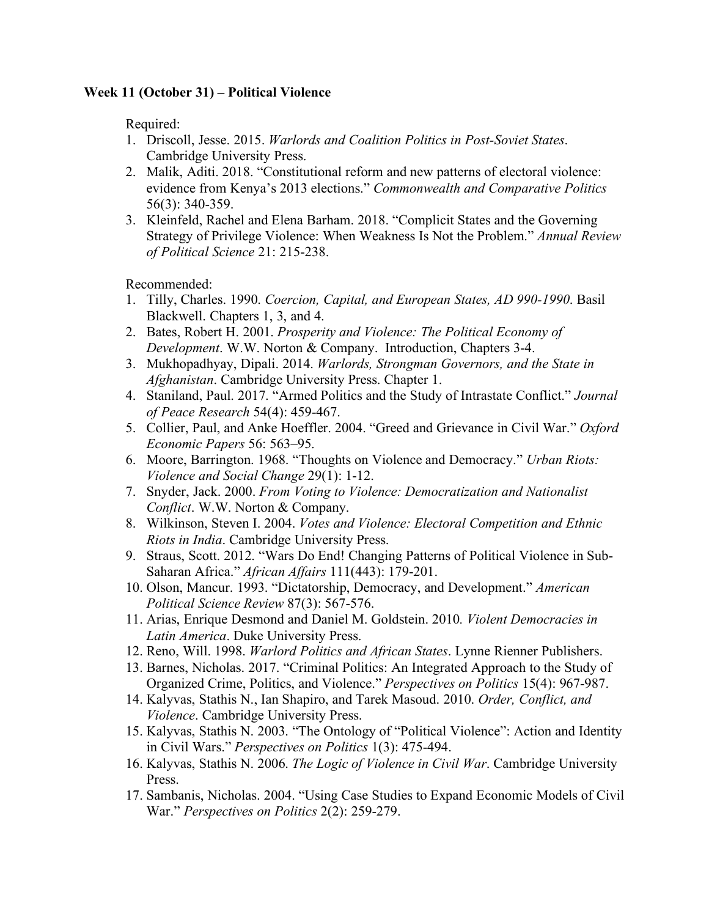## **Week 11 (October 31) – Political Violence**

Required:

- 1. Driscoll, Jesse. 2015. *Warlords and Coalition Politics in Post-Soviet States*. Cambridge University Press.
- 2. Malik, Aditi. 2018. "Constitutional reform and new patterns of electoral violence: evidence from Kenya's 2013 elections." *Commonwealth and Comparative Politics* 56(3): 340-359.
- 3. Kleinfeld, Rachel and Elena Barham. 2018. "Complicit States and the Governing Strategy of Privilege Violence: When Weakness Is Not the Problem." *Annual Review of Political Science* 21: 215-238.

- 1. Tilly, Charles. 1990. *Coercion, Capital, and European States, AD 990-1990*. Basil Blackwell. Chapters 1, 3, and 4.
- 2. Bates, Robert H. 2001. *Prosperity and Violence: The Political Economy of Development*. W.W. Norton & Company. Introduction, Chapters 3-4.
- 3. Mukhopadhyay, Dipali. 2014. *Warlords, Strongman Governors, and the State in Afghanistan*. Cambridge University Press. Chapter 1.
- 4. Staniland, Paul. 2017. "Armed Politics and the Study of Intrastate Conflict." *Journal of Peace Research* 54(4): 459-467.
- 5. Collier, Paul, and Anke Hoeffler. 2004. "Greed and Grievance in Civil War." *Oxford Economic Papers* 56: 563–95.
- 6. Moore, Barrington. 1968. "Thoughts on Violence and Democracy." *Urban Riots: Violence and Social Change* 29(1): 1-12.
- 7. Snyder, Jack. 2000. *From Voting to Violence: Democratization and Nationalist Conflict*. W.W. Norton & Company.
- 8. Wilkinson, Steven I. 2004. *Votes and Violence: Electoral Competition and Ethnic Riots in India*. Cambridge University Press.
- 9. Straus, Scott. 2012. "Wars Do End! Changing Patterns of Political Violence in Sub-Saharan Africa." *African Affairs* 111(443): 179-201.
- 10. Olson, Mancur. 1993. "Dictatorship, Democracy, and Development." *American Political Science Review* 87(3): 567-576.
- 11. Arias, Enrique Desmond and Daniel M. Goldstein. 2010*. Violent Democracies in Latin America*. Duke University Press.
- 12. Reno, Will. 1998. *Warlord Politics and African States*. Lynne Rienner Publishers.
- 13. Barnes, Nicholas. 2017. "Criminal Politics: An Integrated Approach to the Study of Organized Crime, Politics, and Violence." *Perspectives on Politics* 15(4): 967-987.
- 14. Kalyvas, Stathis N., Ian Shapiro, and Tarek Masoud. 2010. *Order, Conflict, and Violence*. Cambridge University Press.
- 15. Kalyvas, Stathis N. 2003. "The Ontology of "Political Violence": Action and Identity in Civil Wars." *Perspectives on Politics* 1(3): 475-494.
- 16. Kalyvas, Stathis N. 2006. *The Logic of Violence in Civil War*. Cambridge University Press.
- 17. Sambanis, Nicholas. 2004. "Using Case Studies to Expand Economic Models of Civil War." *Perspectives on Politics* 2(2): 259-279.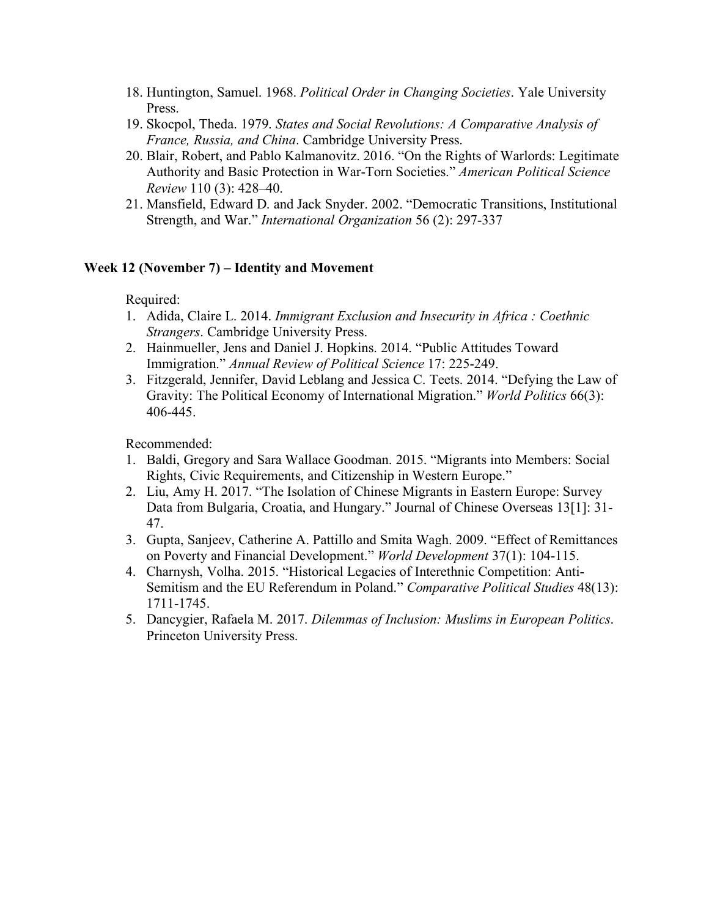- 18. Huntington, Samuel. 1968. *Political Order in Changing Societies*. Yale University Press.
- 19. Skocpol, Theda. 1979. *States and Social Revolutions: A Comparative Analysis of France, Russia, and China*. Cambridge University Press.
- 20. Blair, Robert, and Pablo Kalmanovitz. 2016. "On the Rights of Warlords: Legitimate Authority and Basic Protection in War-Torn Societies." *American Political Science Review* 110 (3): 428–40.
- 21. Mansfield, Edward D. and Jack Snyder. 2002. "Democratic Transitions, Institutional Strength, and War." *International Organization* 56 (2): 297-337

## **Week 12 (November 7) – Identity and Movement**

Required:

- 1. Adida, Claire L. 2014. *Immigrant Exclusion and Insecurity in Africa : Coethnic Strangers*. Cambridge University Press.
- 2. Hainmueller, Jens and Daniel J. Hopkins. 2014. "Public Attitudes Toward Immigration." *Annual Review of Political Science* 17: 225-249.
- 3. Fitzgerald, Jennifer, David Leblang and Jessica C. Teets. 2014. "Defying the Law of Gravity: The Political Economy of International Migration." *World Politics* 66(3): 406-445.

- 1. Baldi, Gregory and Sara Wallace Goodman. 2015. "Migrants into Members: Social Rights, Civic Requirements, and Citizenship in Western Europe."
- 2. Liu, Amy H. 2017. "The Isolation of Chinese Migrants in Eastern Europe: Survey Data from Bulgaria, Croatia, and Hungary." Journal of Chinese Overseas 13[1]: 31- 47.
- 3. Gupta, Sanjeev, Catherine A. Pattillo and Smita Wagh. 2009. "Effect of Remittances on Poverty and Financial Development." *World Development* 37(1): 104-115.
- 4. Charnysh, Volha. 2015. "Historical Legacies of Interethnic Competition: Anti-Semitism and the EU Referendum in Poland." *Comparative Political Studies* 48(13): 1711-1745.
- 5. Dancygier, Rafaela M. 2017. *Dilemmas of Inclusion: Muslims in European Politics*. Princeton University Press.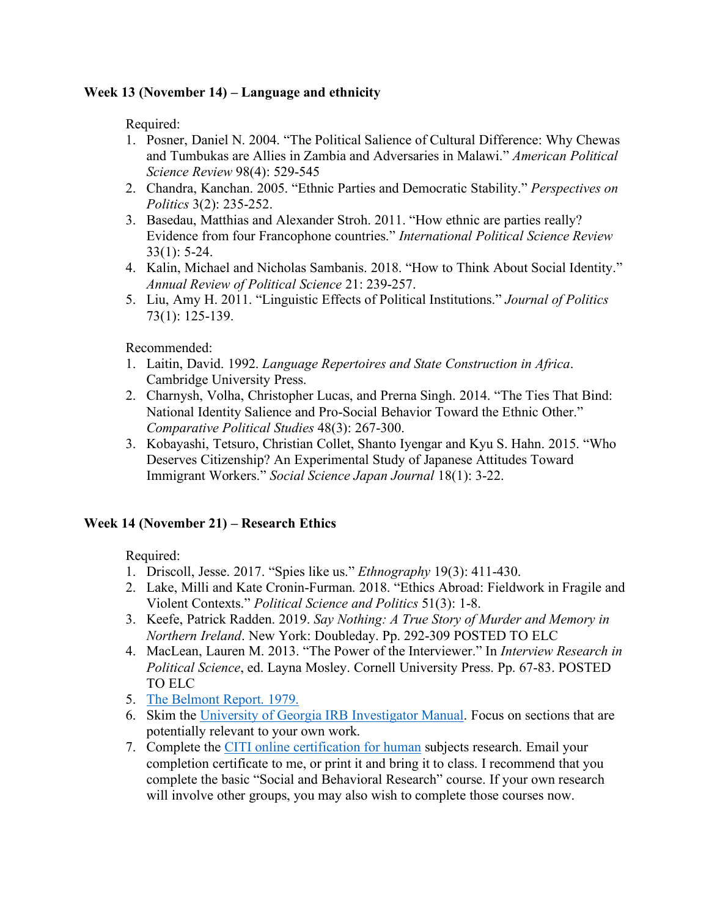# **Week 13 (November 14) – Language and ethnicity**

Required:

- 1. Posner, Daniel N. 2004. "The Political Salience of Cultural Difference: Why Chewas and Tumbukas are Allies in Zambia and Adversaries in Malawi." *American Political Science Review* 98(4): 529-545
- 2. Chandra, Kanchan. 2005. "Ethnic Parties and Democratic Stability." *Perspectives on Politics* 3(2): 235-252.
- 3. Basedau, Matthias and Alexander Stroh. 2011. "How ethnic are parties really? Evidence from four Francophone countries." *International Political Science Review* 33(1): 5-24.
- 4. Kalin, Michael and Nicholas Sambanis. 2018. "How to Think About Social Identity." *Annual Review of Political Science* 21: 239-257.
- 5. Liu, Amy H. 2011. "Linguistic Effects of Political Institutions." *Journal of Politics* 73(1): 125-139.

Recommended:

- 1. Laitin, David. 1992. *Language Repertoires and State Construction in Africa*. Cambridge University Press.
- 2. Charnysh, Volha, Christopher Lucas, and Prerna Singh. 2014. "The Ties That Bind: National Identity Salience and Pro-Social Behavior Toward the Ethnic Other." *Comparative Political Studies* 48(3): 267-300.
- 3. Kobayashi, Tetsuro, Christian Collet, Shanto Iyengar and Kyu S. Hahn. 2015. "Who Deserves Citizenship? An Experimental Study of Japanese Attitudes Toward Immigrant Workers." *Social Science Japan Journal* 18(1): 3-22.

# **Week 14 (November 21) – Research Ethics**

- 1. Driscoll, Jesse. 2017. "Spies like us." *Ethnography* 19(3): 411-430.
- 2. Lake, Milli and Kate Cronin-Furman. 2018. "Ethics Abroad: Fieldwork in Fragile and Violent Contexts." *Political Science and Politics* 51(3): 1-8.
- 3. Keefe, Patrick Radden. 2019. *Say Nothing: A True Story of Murder and Memory in Northern Ireland*. New York: Doubleday. Pp. 292-309 POSTED TO ELC
- 4. MacLean, Lauren M. 2013. "The Power of the Interviewer." In *Interview Research in Political Science*, ed. Layna Mosley. Cornell University Press. Pp. 67-83. POSTED TO ELC
- 5. The Belmont Report. 1979.
- 6. Skim the University of Georgia IRB Investigator Manual. Focus on sections that are potentially relevant to your own work.
- 7. Complete the CITI online certification for human subjects research. Email your completion certificate to me, or print it and bring it to class. I recommend that you complete the basic "Social and Behavioral Research" course. If your own research will involve other groups, you may also wish to complete those courses now.